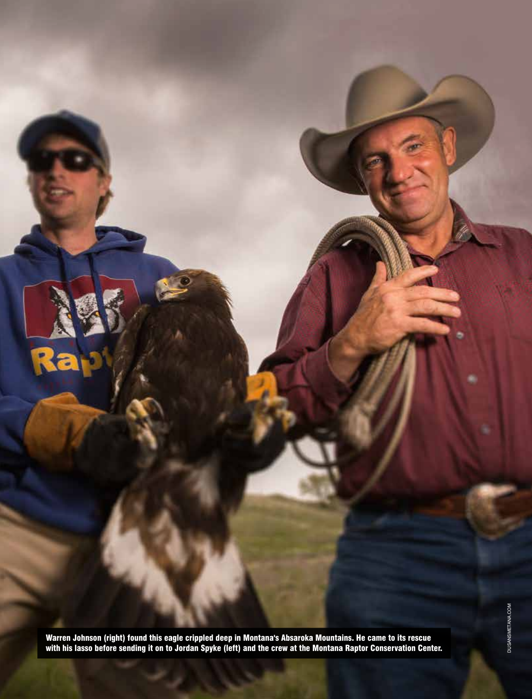Warren Johnson (right) found this eagle crippled deep in Montana's Absaroka Mountains. He came to its rescue with his lasso before sending it on to Jordan Spyke (left) and the crew at the Montana Raptor Conservation Center.

 $\overline{\cdot}$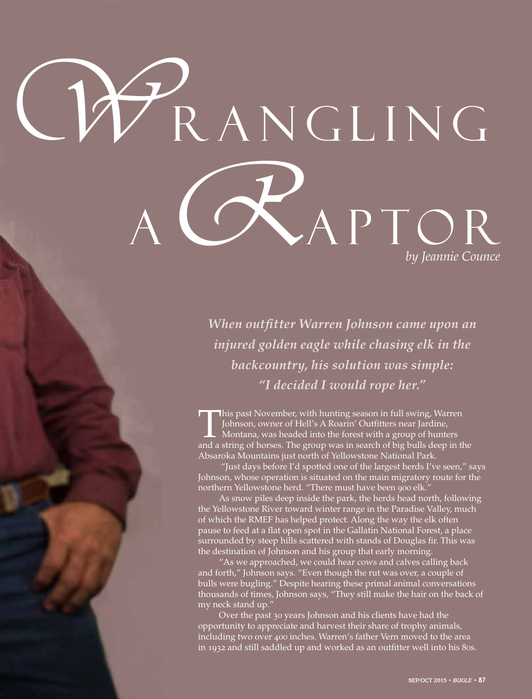# WRANGLING R *by Jeannie Counce* APTOR

*When outfitter Warren Johnson came upon an injured golden eagle while chasing elk in the backcountry, his solution was simple: "I decided I would rope her."*

This past November, with hunting season in full swing, Warren Johnson, owner of Hell's A Roarin' Outfitters near Jardine, Montana, was headed into the forest with a group of hunters and a string of horses. The group was in search of big bulls deep in the Absaroka Mountains just north of Yellowstone National Park.

 "Just days before I'd spotted one of the largest herds I've seen," says Johnson, whose operation is situated on the main migratory route for the northern Yellowstone herd. "There must have been 900 elk."

As snow piles deep inside the park, the herds head north, following the Yellowstone River toward winter range in the Paradise Valley, much of which the RMEF has helped protect. Along the way the elk often pause to feed at a flat open spot in the Gallatin National Forest, a place surrounded by steep hills scattered with stands of Douglas fir. This was the destination of Johnson and his group that early morning.

"As we approached, we could hear cows and calves calling back and forth," Johnson says. "Even though the rut was over, a couple of bulls were bugling." Despite hearing these primal animal conversations thousands of times, Johnson says, "They still make the hair on the back of my neck stand up."

Over the past 30 years Johnson and his clients have had the opportunity to appreciate and harvest their share of trophy animals, including two over 400 inches. Warren's father Vern moved to the area in 1932 and still saddled up and worked as an outfitter well into his 80s.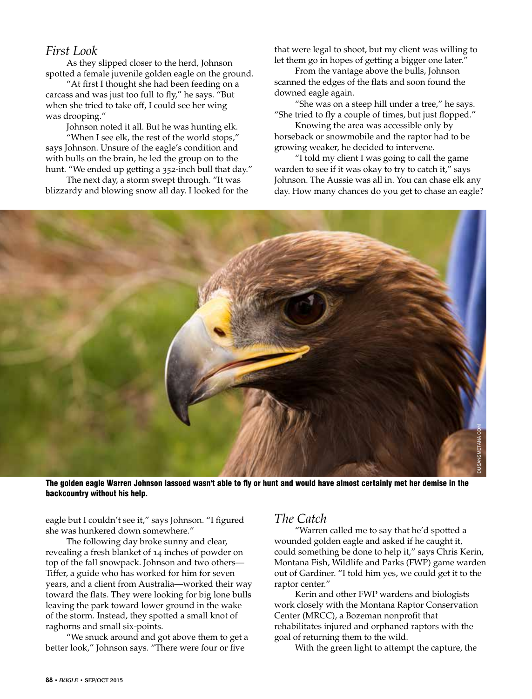### *First Look*

As they slipped closer to the herd, Johnson spotted a female juvenile golden eagle on the ground.

"At first I thought she had been feeding on a carcass and was just too full to fly," he says. "But when she tried to take off, I could see her wing was drooping."

Johnson noted it all. But he was hunting elk.

"When I see elk, the rest of the world stops," says Johnson. Unsure of the eagle's condition and with bulls on the brain, he led the group on to the hunt. "We ended up getting a 352-inch bull that day."

The next day, a storm swept through. "It was blizzardy and blowing snow all day. I looked for the that were legal to shoot, but my client was willing to let them go in hopes of getting a bigger one later."

From the vantage above the bulls, Johnson scanned the edges of the flats and soon found the downed eagle again.

"She was on a steep hill under a tree," he says. "She tried to fly a couple of times, but just flopped."

Knowing the area was accessible only by horseback or snowmobile and the raptor had to be growing weaker, he decided to intervene.

"I told my client I was going to call the game warden to see if it was okay to try to catch it," says Johnson. The Aussie was all in. You can chase elk any day. How many chances do you get to chase an eagle?



The golden eagle Warren Johnson lassoed wasn't able to fly or hunt and would have almost certainly met her demise in the backcountry without his help.

eagle but I couldn't see it," says Johnson. "I figured she was hunkered down somewhere."

The following day broke sunny and clear, revealing a fresh blanket of 14 inches of powder on top of the fall snowpack. Johnson and two others— Tiffer, a guide who has worked for him for seven years, and a client from Australia—worked their way toward the flats. They were looking for big lone bulls leaving the park toward lower ground in the wake of the storm. Instead, they spotted a small knot of raghorns and small six-points.

"We snuck around and got above them to get a better look," Johnson says. "There were four or five

## *The Catch*

"Warren called me to say that he'd spotted a wounded golden eagle and asked if he caught it, could something be done to help it," says Chris Kerin, Montana Fish, Wildlife and Parks (FWP) game warden out of Gardiner. "I told him yes, we could get it to the raptor center."

Kerin and other FWP wardens and biologists work closely with the Montana Raptor Conservation Center (MRCC), a Bozeman nonprofit that rehabilitates injured and orphaned raptors with the goal of returning them to the wild.

With the green light to attempt the capture, the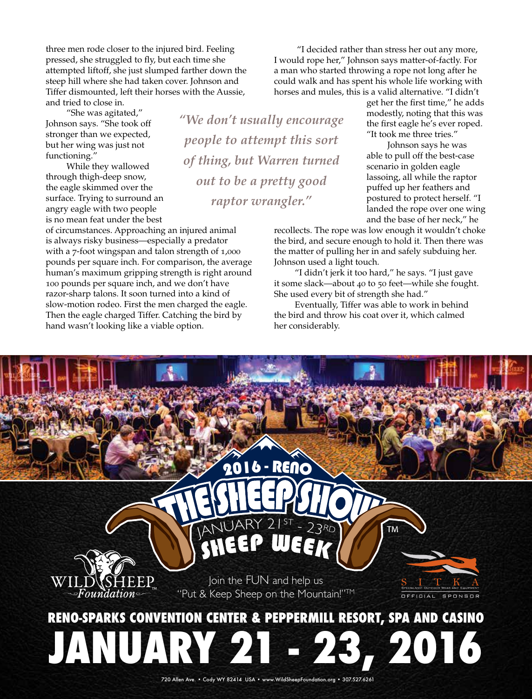three men rode closer to the injured bird. Feeling pressed, she struggled to fly, but each time she attempted liftoff, she just slumped farther down the steep hill where she had taken cover. Johnson and Tiffer dismounted, left their horses with the Aussie, and tried to close in.

"She was agitated,"

Johnson says. "She took off stronger than we expected, but her wing was just not functioning."

While they wallowed through thigh-deep snow, the eagle skimmed over the surface. Trying to surround an angry eagle with two people is no mean feat under the best

of circumstances. Approaching an injured animal is always risky business—especially a predator with a 7-foot wingspan and talon strength of 1,000 pounds per square inch. For comparison, the average human's maximum gripping strength is right around 100 pounds per square inch, and we don't have razor-sharp talons. It soon turned into a kind of slow-motion rodeo. First the men charged the eagle. Then the eagle charged Tiffer. Catching the bird by hand wasn't looking like a viable option.

*"We don't usually encourage people to attempt this sort of thing, but Warren turned out to be a pretty good raptor wrangler."* 

 "I decided rather than stress her out any more, I would rope her," Johnson says matter-of-factly. For a man who started throwing a rope not long after he could walk and has spent his whole life working with horses and mules, this is a valid alternative. "I didn't

> get her the first time," he adds modestly, noting that this was the first eagle he's ever roped. "It took me three tries."

Johnson says he was able to pull off the best-case scenario in golden eagle lassoing, all while the raptor puffed up her feathers and postured to protect herself. "I landed the rope over one wing and the base of her neck," he

recollects. The rope was low enough it wouldn't choke the bird, and secure enough to hold it. Then there was the matter of pulling her in and safely subduing her. Johnson used a light touch.

"I didn't jerk it too hard," he says. "I just gave it some slack—about 40 to 50 feet—while she fought. She used every bit of strength she had."

Eventually, Tiffer was able to work in behind the bird and throw his coat over it, which calmed her considerably.

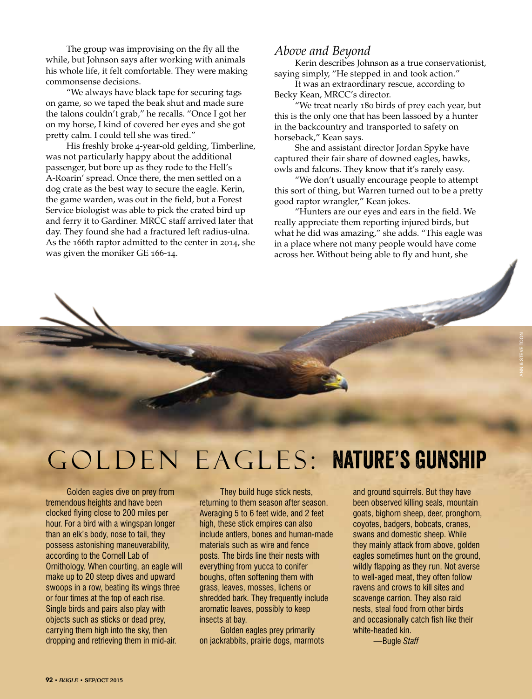The group was improvising on the fly all the while, but Johnson says after working with animals his whole life, it felt comfortable. They were making commonsense decisions.

"We always have black tape for securing tags on game, so we taped the beak shut and made sure the talons couldn't grab," he recalls. "Once I got her on my horse, I kind of covered her eyes and she got pretty calm. I could tell she was tired."

His freshly broke 4-year-old gelding, Timberline, was not particularly happy about the additional passenger, but bore up as they rode to the Hell's A-Roarin' spread. Once there, the men settled on a dog crate as the best way to secure the eagle. Kerin, the game warden, was out in the field, but a Forest Service biologist was able to pick the crated bird up and ferry it to Gardiner. MRCC staff arrived later that day. They found she had a fractured left radius-ulna. As the 166th raptor admitted to the center in 2014, she was given the moniker GE 166-14.

### *Above and Beyond*

Kerin describes Johnson as a true conservationist, saying simply, "He stepped in and took action."

It was an extraordinary rescue, according to Becky Kean, MRCC's director.

"We treat nearly 180 birds of prey each year, but this is the only one that has been lassoed by a hunter in the backcountry and transported to safety on horseback," Kean says.

She and assistant director Jordan Spyke have captured their fair share of downed eagles, hawks, owls and falcons. They know that it's rarely easy.

"We don't usually encourage people to attempt this sort of thing, but Warren turned out to be a pretty good raptor wrangler," Kean jokes.

"Hunters are our eyes and ears in the field. We really appreciate them reporting injured birds, but what he did was amazing," she adds. "This eagle was in a place where not many people would have come across her. Without being able to fly and hunt, she

## Golden Eagles: Nature's Gunship

Golden eagles dive on prey from tremendous heights and have been clocked flying close to 200 miles per hour. For a bird with a wingspan longer than an elk's body, nose to tail, they possess astonishing maneuverability, according to the Cornell Lab of Ornithology. When courting, an eagle will make up to 20 steep dives and upward swoops in a row, beating its wings three or four times at the top of each rise. Single birds and pairs also play with objects such as sticks or dead prey, carrying them high into the sky, then dropping and retrieving them in mid-air.

They build huge stick nests, returning to them season after season. Averaging 5 to 6 feet wide, and 2 feet high, these stick empires can also include antlers, bones and human-made materials such as wire and fence posts. The birds line their nests with everything from yucca to conifer boughs, often softening them with grass, leaves, mosses, lichens or shredded bark. They frequently include aromatic leaves, possibly to keep insects at bay.

Golden eagles prey primarily on jackrabbits, prairie dogs, marmots and ground squirrels. But they have been observed killing seals, mountain goats, bighorn sheep, deer, pronghorn, coyotes, badgers, bobcats, cranes, swans and domestic sheep. While they mainly attack from above, golden eagles sometimes hunt on the ground, wildly flapping as they run. Not averse to well-aged meat, they often follow ravens and crows to kill sites and scavenge carrion. They also raid nests, steal food from other birds and occasionally catch fish like their white-headed kin.

ann & steve toon

*—*Bugle *Staff*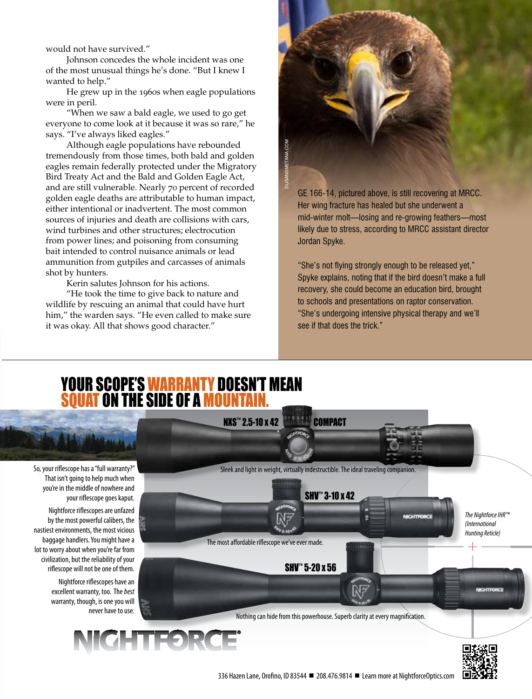would not have survived."

Johnson concedes the whole incident was one of the most unusual things he's done. "But I knew I wanted to help."

He grew up in the 1960s when eagle populations were in peril.

"When we saw a bald eagle, we used to go get everyone to come look at it because it was so rare," he says. "I've always liked eagles."

Although eagle populations have rebounded tremendously from those times, both bald and golden eagles remain federally protected under the Migratory Bird Treaty Act and the Bald and Golden Eagle Act, and are still vulnerable. Nearly 70 percent of recorded golden eagle deaths are attributable to human impact, either intentional or inadvertent. The most common sources of injuries and death are collisions with cars, wind turbines and other structures; electrocution from power lines; and poisoning from consuming bait intended to control nuisance animals or lead ammunition from gutpiles and carcasses of animals shot by hunters.

Kerin salutes Johnson for his actions.

"He took the time to give back to nature and wildlife by rescuing an animal that could have hurt him," the warden says. "He even called to make sure it was okay. All that shows good character."



GE 166-14, pictured above, is still recovering at MRCC. Her wing fracture has healed but she underwent a mid-winter molt—losing and re-growing feathers—most likely due to stress, according to MRCC assistant director Jordan Spyke.

"She's not flying strongly enough to be released yet," Spyke explains, noting that if the bird doesn't make a full recovery, she could become an education bird, brought to schools and presentations on raptor conservation. "She's undergoing intensive physical therapy and we'll see if that does the trick."

## YOUR SCOPE'S WARRANTY DOESN'T MEAN SQUAT ON THE SIDE OF A MOUNTAIN.